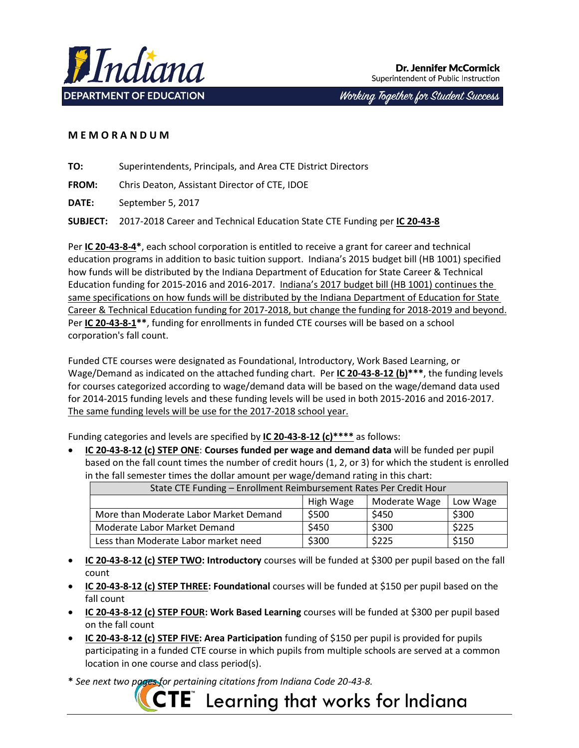

Working Together for Student Success

# **M E M O R A N D U M**

**TO:** Superintendents, Principals, and Area CTE District Directors

**FROM:** Chris Deaton, Assistant Director of CTE, IDOE

**DATE:** September 5, 2017

**SUBJECT:** 2017-2018 Career and Technical Education State CTE Funding per **IC 20-43-8**

Per **IC 20-43-8-4\***, each school corporation is entitled to receive a grant for career and technical education programs in addition to basic tuition support. Indiana's 2015 budget bill (HB 1001) specified how funds will be distributed by the Indiana Department of Education for State Career & Technical Education funding for 2015-2016 and 2016-2017. Indiana's 2017 budget bill (HB 1001) continues the same specifications on how funds will be distributed by the Indiana Department of Education for State Career & Technical Education funding for 2017-2018, but change the funding for 2018-2019 and beyond. Per **IC 20-43-8-1\*\***, funding for enrollments in funded CTE courses will be based on a school corporation's fall count.

Funded CTE courses were designated as Foundational, Introductory, Work Based Learning, or Wage/Demand as indicated on the attached funding chart. Per **IC 20-43-8-12 (b)\*\*\***, the funding levels for courses categorized according to wage/demand data will be based on the wage/demand data used for 2014-2015 funding levels and these funding levels will be used in both 2015-2016 and 2016-2017. The same funding levels will be use for the 2017-2018 school year.

Funding categories and levels are specified by **IC 20-43-8-12 (c)\*\*\*\*** as follows:

 **IC 20-43-8-12 (c) STEP ONE**: **Courses funded per wage and demand data** will be funded per pupil based on the fall count times the number of credit hours (1, 2, or 3) for which the student is enrolled in the fall semester times the dollar amount per wage/demand rating in this chart:

| State CTE Funding - Enrollment Reimbursement Rates Per Credit Hour |           |               |          |
|--------------------------------------------------------------------|-----------|---------------|----------|
|                                                                    | High Wage | Moderate Wage | Low Wage |
| More than Moderate Labor Market Demand                             | \$500     | \$450         | \$300    |
| Moderate Labor Market Demand                                       | \$450     | \$300         | \$225    |
| Less than Moderate Labor market need                               | \$300     | \$225         | \$150    |

- **IC 20-43-8-12 (c) STEP TWO: Introductory** courses will be funded at \$300 per pupil based on the fall count
- **IC 20-43-8-12 (c) STEP THREE: Foundational** courses will be funded at \$150 per pupil based on the fall count
- **IC 20-43-8-12 (c) STEP FOUR: Work Based Learning** courses will be funded at \$300 per pupil based on the fall count
- **IC 20-43-8-12 (c) STEP FIVE: Area Participation** funding of \$150 per pupil is provided for pupils participating in a funded CTE course in which pupils from multiple schools are served at a common location in one course and class period(s).

**\*** *See next two pages for pertaining citations from Indiana Code 20-43-8.*

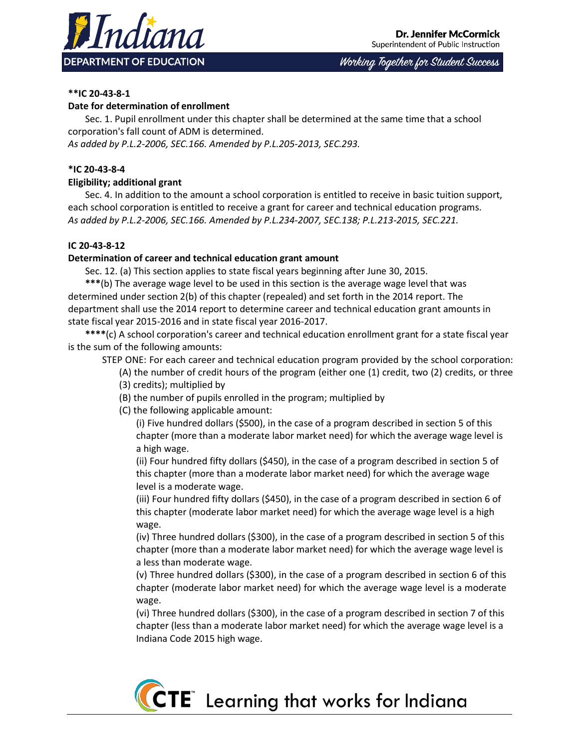

Working Together for Student Success

# **\*\*IC 20-43-8-1**

## **Date for determination of enrollment**

Sec. 1. Pupil enrollment under this chapter shall be determined at the same time that a school corporation's fall count of ADM is determined.

*As added by P.L.2-2006, SEC.166. Amended by P.L.205-2013, SEC.293.*

## **\*IC 20-43-8-4**

## **Eligibility; additional grant**

Sec. 4. In addition to the amount a school corporation is entitled to receive in basic tuition support, each school corporation is entitled to receive a grant for career and technical education programs. *As added by P.L.2-2006, SEC.166. Amended by P.L.234-2007, SEC.138; P.L.213-2015, SEC.221.*

### **IC 20-43-8-12**

### **Determination of career and technical education grant amount**

Sec. 12. (a) This section applies to state fiscal years beginning after June 30, 2015.

**\*\*\***(b) The average wage level to be used in this section is the average wage level that was determined under section 2(b) of this chapter (repealed) and set forth in the 2014 report. The department shall use the 2014 report to determine career and technical education grant amounts in state fiscal year 2015-2016 and in state fiscal year 2016-2017.

**\*\*\*\***(c) A school corporation's career and technical education enrollment grant for a state fiscal year is the sum of the following amounts:

STEP ONE: For each career and technical education program provided by the school corporation:

(A) the number of credit hours of the program (either one (1) credit, two (2) credits, or three (3) credits); multiplied by

- (B) the number of pupils enrolled in the program; multiplied by
- (C) the following applicable amount:

(i) Five hundred dollars (\$500), in the case of a program described in section 5 of this chapter (more than a moderate labor market need) for which the average wage level is a high wage.

(ii) Four hundred fifty dollars (\$450), in the case of a program described in section 5 of this chapter (more than a moderate labor market need) for which the average wage level is a moderate wage.

(iii) Four hundred fifty dollars (\$450), in the case of a program described in section 6 of this chapter (moderate labor market need) for which the average wage level is a high wage.

(iv) Three hundred dollars (\$300), in the case of a program described in section 5 of this chapter (more than a moderate labor market need) for which the average wage level is a less than moderate wage.

(v) Three hundred dollars (\$300), in the case of a program described in section 6 of this chapter (moderate labor market need) for which the average wage level is a moderate wage.

(vi) Three hundred dollars (\$300), in the case of a program described in section 7 of this chapter (less than a moderate labor market need) for which the average wage level is a Indiana Code 2015 high wage.